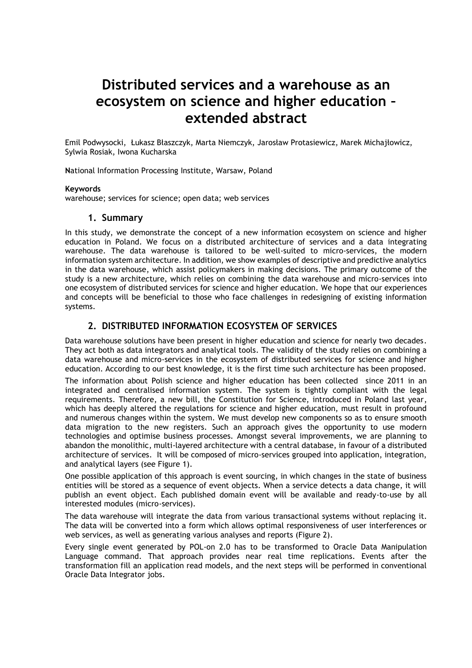# **Distributed services and a warehouse as an ecosystem on science and higher education – extended abstract**

Emil Podwysocki, Łukasz Błaszczyk, Marta Niemczyk, Jarosław Protasiewicz, Marek Michajłowicz, Sylwia Rosiak, Iwona Kucharska

**N**ational Information Processing Institute, Warsaw, Poland

#### **Keywords**

warehouse; services for science; open data; web services

### **1. Summary**

In this study, we demonstrate the concept of a new information ecosystem on science and higher education in Poland. We focus on a distributed architecture of services and a data integrating warehouse. The data warehouse is tailored to be well-suited to micro-services, the modern information system architecture. In addition, we show examples of descriptive and predictive analytics in the data warehouse, which assist policymakers in making decisions. The primary outcome of the study is a new architecture, which relies on combining the data warehouse and micro-services into one ecosystem of distributed services for science and higher education. We hope that our experiences and concepts will be beneficial to those who face challenges in redesigning of existing information systems.

## **2. DISTRIBUTED INFORMATION ECOSYSTEM OF SERVICES**

Data warehouse solutions have been present in higher education and science for nearly two decades. They act both as data integrators and analytical tools. The validity of the study relies on combining a data warehouse and micro-services in the ecosystem of distributed services for science and higher education. According to our best knowledge, it is the first time such architecture has been proposed.

The information about Polish science and higher education has been collected since 2011 in an integrated and centralised information system. The system is tightly compliant with the legal requirements. Therefore, a new bill, the Constitution for Science, introduced in Poland last year, which has deeply altered the regulations for science and higher education, must result in profound and numerous changes within the system. We must develop new components so as to ensure smooth data migration to the new registers. Such an approach gives the opportunity to use modern technologies and optimise business processes. Amongst several improvements, we are planning to abandon the monolithic, multi-layered architecture with a central database, in favour of a distributed architecture of services. It will be composed of micro-services grouped into application, integration, and analytical layers (see Figure 1).

One possible application of this approach is event sourcing, in which changes in the state of business entities will be stored as a sequence of event objects. When a service detects a data change, it will publish an event object. Each published domain event will be available and ready-to-use by all interested modules (micro-services).

The data warehouse will integrate the data from various transactional systems without replacing it. The data will be converted into a form which allows optimal responsiveness of user interferences or web services, as well as generating various analyses and reports (Figure 2).

Every single event generated by POL-on 2.0 has to be transformed to Oracle Data Manipulation Language command. That approach provides near real time replications. Events after the transformation fill an application read models, and the next steps will be performed in conventional Oracle Data Integrator jobs.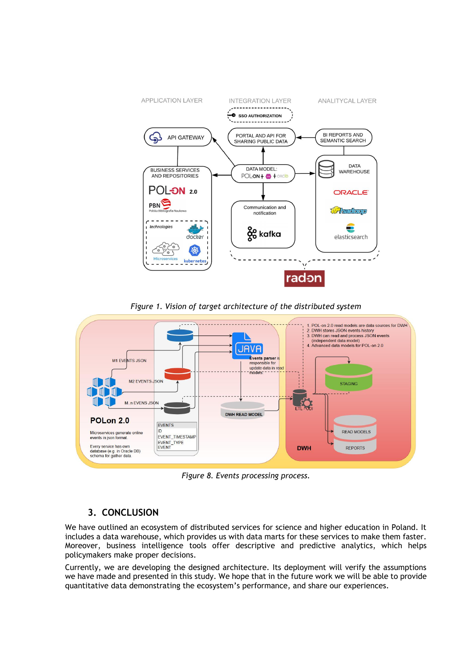

*Figure 1. Vision of target architecture of the distributed system*



*Figure 8. Events processing process.* 

## **3. CONCLUSION**

We have outlined an ecosystem of distributed services for science and higher education in Poland. It includes a data warehouse, which provides us with data marts for these services to make them faster. Moreover, business intelligence tools offer descriptive and predictive analytics, which helps policymakers make proper decisions.

Currently, we are developing the designed architecture. Its deployment will verify the assumptions we have made and presented in this study. We hope that in the future work we will be able to provide quantitative data demonstrating the ecosystem's performance, and share our experiences.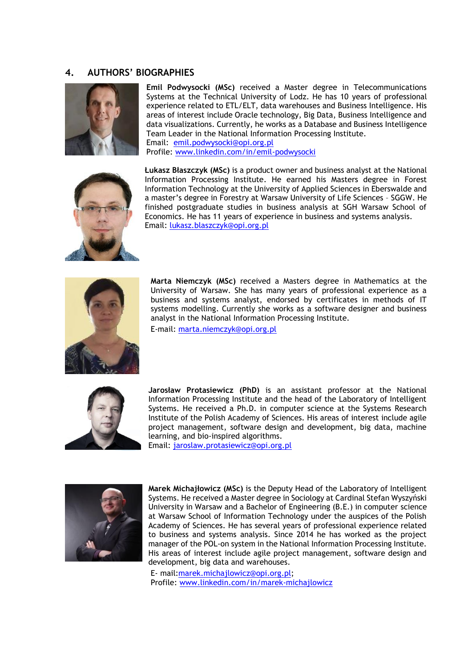## **4. AUTHORS' BIOGRAPHIES**



**Emil Podwysocki (MSc)** received a Master degree in Telecommunications Systems at the Technical University of Lodz. He has 10 years of professional experience related to ETL/ELT, data warehouses and Business Intelligence. His areas of interest include Oracle technology, Big Data, Business Intelligence and data visualizations. Currently, he works as a Database and Business Intelligence Team Leader in the National Information Processing Institute. Email: [emil.podwysocki@opi.org.pl](mailto:emil.podwysocki@opi.org.pl) Profile: [www.linkedin.com/in/emil-podwysocki](http://www.linkedin.com/in/emil-podwysocki)



**Łukasz Błaszczyk (MSc)** is a product owner and business analyst at the National Information Processing Institute. He earned his Masters degree in Forest Information Technology at the University of Applied Sciences in Eberswalde and a master's degree in Forestry at Warsaw University of Life Sciences – SGGW. He finished postgraduate studies in business analysis at SGH Warsaw School of Economics. He has 11 years of experience in business and systems analysis. Email: [lukasz.blaszczyk@opi.org.pl](mailto:lukasz.blaszczyk@opi.org.pl)



**Marta Niemczyk (MSc)** received a Masters degree in Mathematics at the University of Warsaw. She has many years of professional experience as a business and systems analyst, endorsed by certificates in methods of IT systems modelling. Currently she works as a software designer and business analyst in the National Information Processing Institute.

E-mail: [marta.niemczyk@opi.org.pl](mailto:marta.niemczyk@opi.org.pl)



**Jarosław Protasiewicz (PhD)** is an assistant professor at the National Information Processing Institute and the head of the Laboratory of Intelligent Systems. He received a Ph.D. in computer science at the Systems Research Institute of the Polish Academy of Sciences. His areas of interest include agile project management, software design and development, big data, machine learning, and bio-inspired algorithms.





**Marek Michajłowicz (MSc)** is the Deputy Head of the Laboratory of Intelligent Systems. He received a Master degree in Sociology at Cardinal Stefan Wyszyński University in Warsaw and a Bachelor of Engineering (B.E.) in computer science at Warsaw School of Information Technology under the auspices of the Polish Academy of Sciences. He has several years of professional experience related to business and systems analysis. Since 2014 he has worked as the project manager of the POL-on system in the National Information Processing Institute. His areas of interest include agile project management, software design and development, big data and warehouses.

E- mail[:marek.michajlowicz@opi.org.pl;](mailto:marek.michajlowicz@opi.org.pl) Profile: [www.linkedin.com/in/marek-michajlowicz](http://www.linkedin.com/in/marek-michajlowicz)